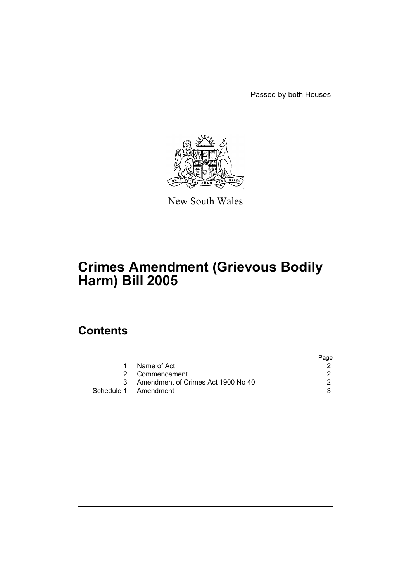Passed by both Houses



New South Wales

# **Crimes Amendment (Grievous Bodily Harm) Bill 2005**

### **Contents**

|    |                                    | Page |
|----|------------------------------------|------|
|    | Name of Act                        |      |
|    | 2 Commencement                     |      |
| ्र | Amendment of Crimes Act 1900 No 40 |      |
|    | Schedule 1 Amendment               |      |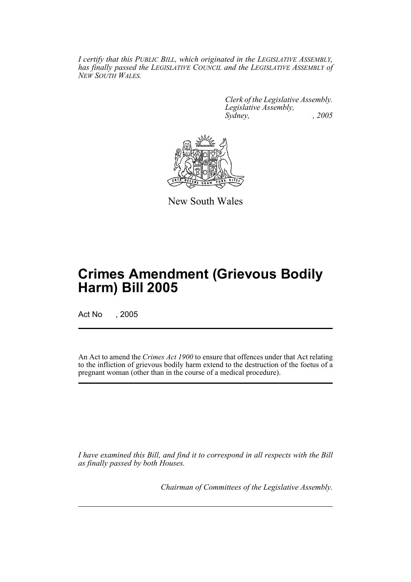*I certify that this PUBLIC BILL, which originated in the LEGISLATIVE ASSEMBLY, has finally passed the LEGISLATIVE COUNCIL and the LEGISLATIVE ASSEMBLY of NEW SOUTH WALES.*

> *Clerk of the Legislative Assembly. Legislative Assembly, Sydney, , 2005*



New South Wales

## **Crimes Amendment (Grievous Bodily Harm) Bill 2005**

Act No , 2005

An Act to amend the *Crimes Act 1900* to ensure that offences under that Act relating to the infliction of grievous bodily harm extend to the destruction of the foetus of a pregnant woman (other than in the course of a medical procedure).

*I have examined this Bill, and find it to correspond in all respects with the Bill as finally passed by both Houses.*

*Chairman of Committees of the Legislative Assembly.*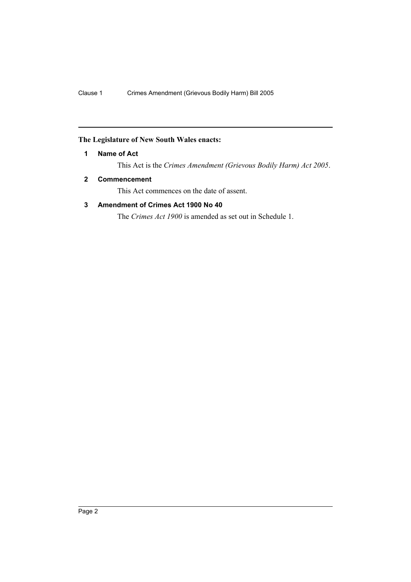#### **The Legislature of New South Wales enacts:**

#### **1 Name of Act**

This Act is the *Crimes Amendment (Grievous Bodily Harm) Act 2005*.

#### **2 Commencement**

This Act commences on the date of assent.

#### **3 Amendment of Crimes Act 1900 No 40**

The *Crimes Act 1900* is amended as set out in Schedule 1.